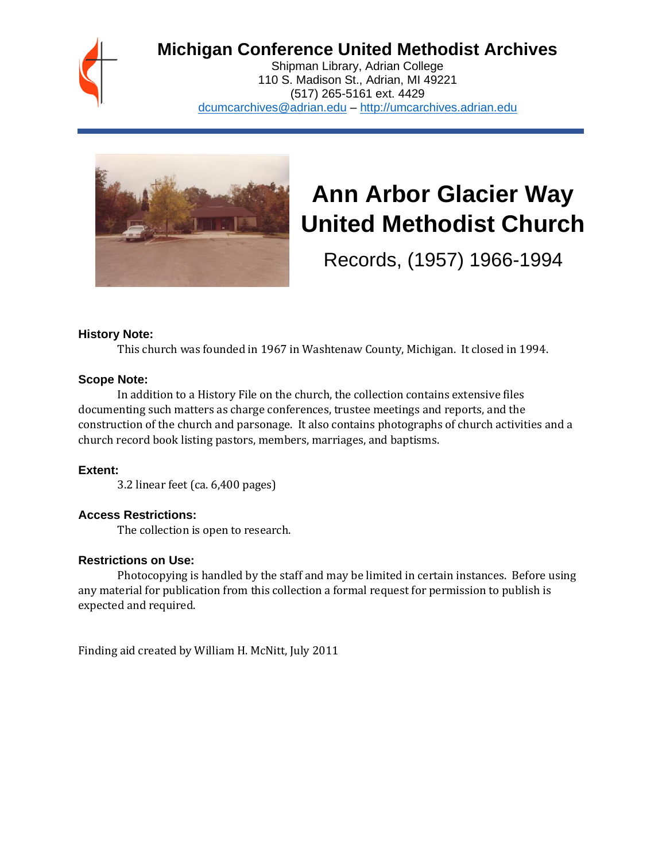

## **Michigan Conference United Methodist Archives**

Shipman Library, Adrian College 110 S. Madison St., Adrian, MI 49221 (517) 265-5161 ext. 4429 [dcumcarchives@adrian.edu](mailto:dcumcarchives@adrian.edu) – [http://umcarchives.adrian.edu](http://umcarchives.adrian.edu/)



# **Ann Arbor Glacier Way United Methodist Church**

Records, (1957) 1966-1994

## **History Note:**

This church was founded in 1967 in Washtenaw County, Michigan. It closed in 1994.

## **Scope Note:**

In addition to a History File on the church, the collection contains extensive files documenting such matters as charge conferences, trustee meetings and reports, and the construction of the church and parsonage. It also contains photographs of church activities and a church record book listing pastors, members, marriages, and baptisms.

## **Extent:**

3.2 linear feet (ca. 6,400 pages)

## **Access Restrictions:**

The collection is open to research.

## **Restrictions on Use:**

Photocopying is handled by the staff and may be limited in certain instances. Before using any material for publication from this collection a formal request for permission to publish is expected and required.

Finding aid created by William H. McNitt, July 2011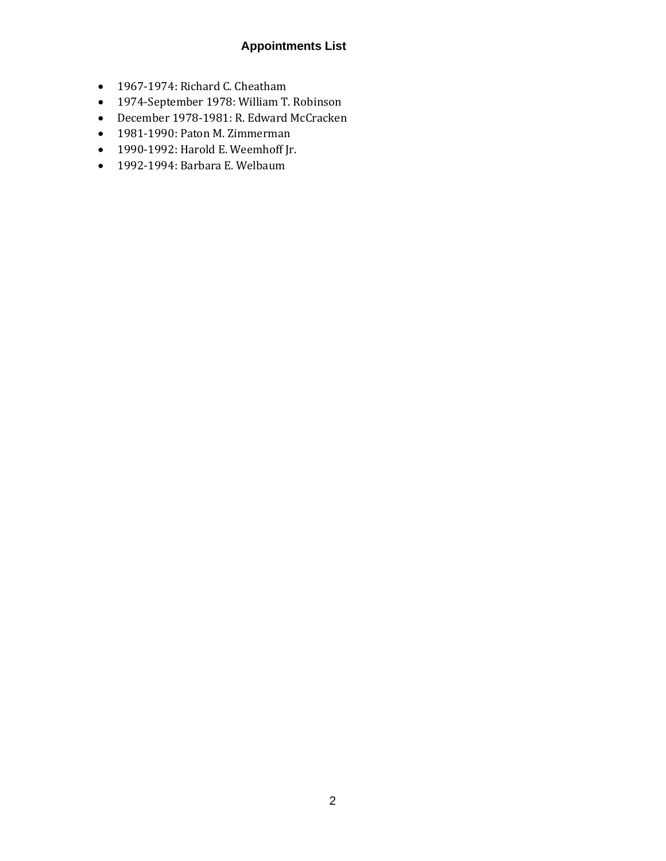## **Appointments List**

- 1967-1974: Richard C. Cheatham
- 1974-September 1978: William T. Robinson
- December 1978-1981: R. Edward McCracken
- 1981-1990: Paton M. Zimmerman
- 1990-1992: Harold E. Weemhoff Jr.
- 1992-1994: Barbara E. Welbaum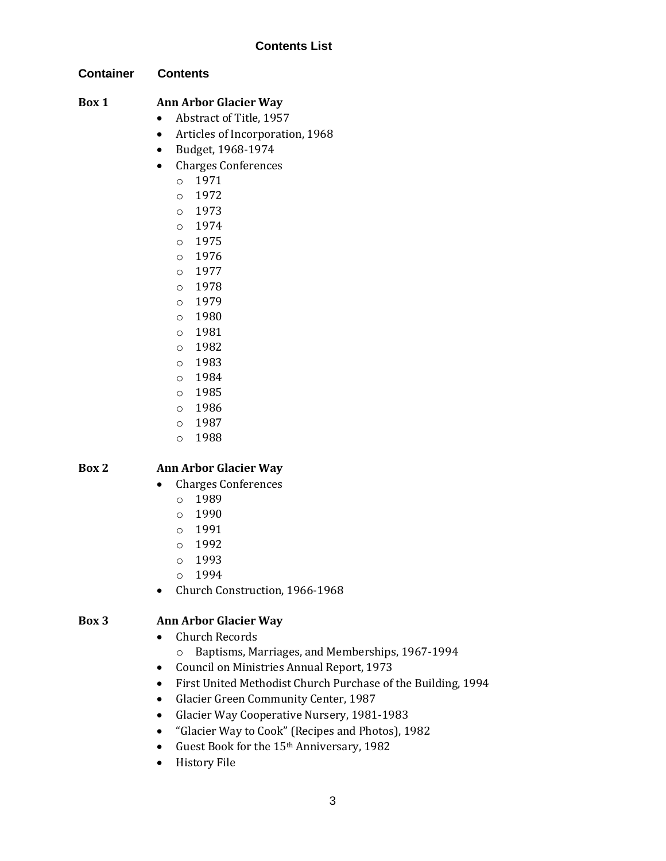## **Contents List**

## **Container Contents**

## **Box 1 Ann Arbor Glacier Way**

- Abstract of Title, 1957
- Articles of Incorporation, 1968
- Budget, 1968-1974
- Charges Conferences
	- o 1971
	- o 1972
	- o 1973
	- o 1974
	- o 1975
	- o 1976
	- o 1977
	- o 1978
	- o 1979
	- o 1980
	- o 1981
	- o 1982
	- o 1983
	- o 1984
	- o 1985
	- o 1986
	- o 1987
	- o 1988

## **Box 2 Ann Arbor Glacier Way**

- Charges Conferences
	- o 1989
	- o 1990
	- o 1991
	- o 1992
	- o 1993
	- o 1994
- Church Construction, 1966-1968

## **Box 3 Ann Arbor Glacier Way**

- Church Records
	- o Baptisms, Marriages, and Memberships, 1967-1994
- Council on Ministries Annual Report, 1973
- First United Methodist Church Purchase of the Building, 1994
- Glacier Green Community Center, 1987
- Glacier Way Cooperative Nursery, 1981-1983
- "Glacier Way to Cook" (Recipes and Photos), 1982
- Guest Book for the 15<sup>th</sup> Anniversary, 1982
- History File